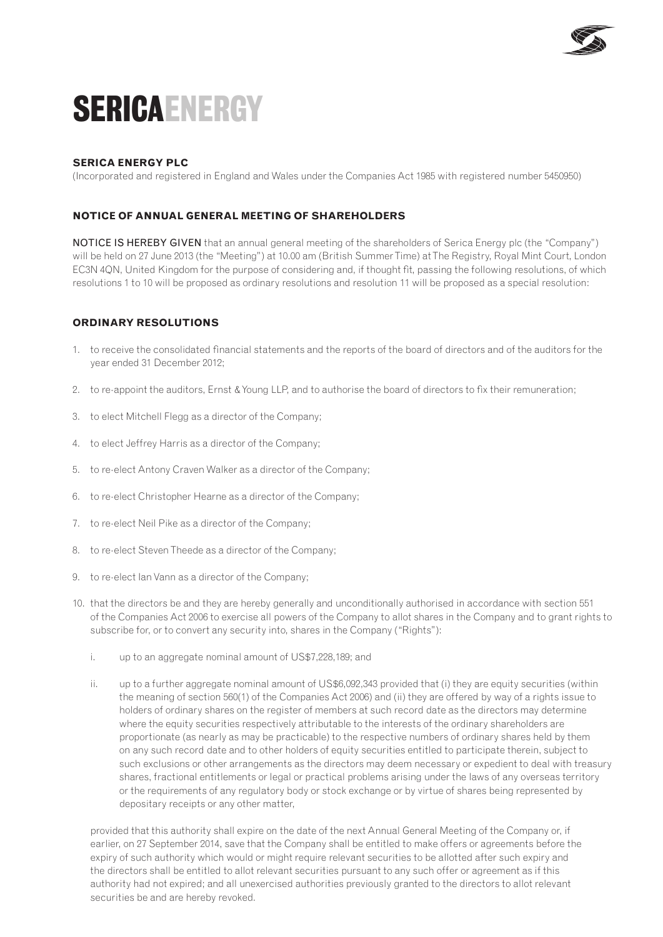

# **SericaENERGY**

## **SERICA ENERGY PLC**

(Incorporated and registered in England and Wales under the Companies Act 1985 with registered number 5450950)

### **notice of annual general meeting of shareholders**

NOTICE IS HEREBY GIVEN that an annual general meeting of the shareholders of Serica Energy plc (the "Company") will be held on 27 June 2013 (the "Meeting") at 10.00 am (British Summer Time) at The Registry, Royal Mint Court, London EC3N 4QN, United Kingdom for the purpose of considering and, if thought fit, passing the following resolutions, of which resolutions 1 to 10 will be proposed as ordinary resolutions and resolution 11 will be proposed as a special resolution:

#### **ORDINARY RESOLUTIONS**

- 1. to receive the consolidated financial statements and the reports of the board of directors and of the auditors for the year ended 31 December 2012;
- 2. to re-appoint the auditors, Ernst & Young LLP, and to authorise the board of directors to fix their remuneration;
- 3. to elect Mitchell Flegg as a director of the Company;
- 4. to elect Jeffrey Harris as a director of the Company;
- 5. to re-elect Antony Craven Walker as a director of the Company;
- 6. to re-elect Christopher Hearne as a director of the Company;
- 7. to re-elect Neil Pike as a director of the Company;
- 8. to re-elect Steven Theede as a director of the Company;
- 9. to re-elect Ian Vann as a director of the Company;
- 10. that the directors be and they are hereby generally and unconditionally authorised in accordance with section 551 of the Companies Act 2006 to exercise all powers of the Company to allot shares in the Company and to grant rights to subscribe for, or to convert any security into, shares in the Company ("Rights"):
	- i. up to an aggregate nominal amount of US\$7,228,189; and
	- ii. up to a further aggregate nominal amount of US\$6,092,343 provided that (i) they are equity securities (within the meaning of section 560(1) of the Companies Act 2006) and (ii) they are offered by way of a rights issue to holders of ordinary shares on the register of members at such record date as the directors may determine where the equity securities respectively attributable to the interests of the ordinary shareholders are proportionate (as nearly as may be practicable) to the respective numbers of ordinary shares held by them on any such record date and to other holders of equity securities entitled to participate therein, subject to such exclusions or other arrangements as the directors may deem necessary or expedient to deal with treasury shares, fractional entitlements or legal or practical problems arising under the laws of any overseas territory or the requirements of any regulatory body or stock exchange or by virtue of shares being represented by depositary receipts or any other matter,

provided that this authority shall expire on the date of the next Annual General Meeting of the Company or, if earlier, on 27 September 2014, save that the Company shall be entitled to make offers or agreements before the expiry of such authority which would or might require relevant securities to be allotted after such expiry and the directors shall be entitled to allot relevant securities pursuant to any such offer or agreement as if this authority had not expired; and all unexercised authorities previously granted to the directors to allot relevant securities be and are hereby revoked.